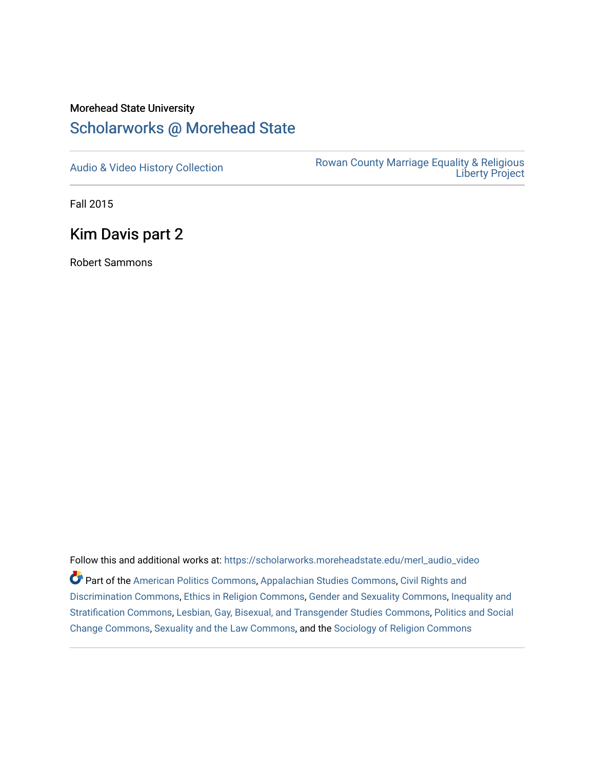# Morehead State University

## [Scholarworks @ Morehead State](https://scholarworks.moreheadstate.edu/)

[Audio & Video History Collection](https://scholarworks.moreheadstate.edu/merl_audio_video) **Rowan County Marriage Equality & Religious** [Liberty Project](https://scholarworks.moreheadstate.edu/merl) 

Fall 2015

## Kim Davis part 2

Robert Sammons

Follow this and additional works at: [https://scholarworks.moreheadstate.edu/merl\\_audio\\_video](https://scholarworks.moreheadstate.edu/merl_audio_video?utm_source=scholarworks.moreheadstate.edu%2Fmerl_audio_video%2F88&utm_medium=PDF&utm_campaign=PDFCoverPages)  Part of the [American Politics Commons,](http://network.bepress.com/hgg/discipline/387?utm_source=scholarworks.moreheadstate.edu%2Fmerl_audio_video%2F88&utm_medium=PDF&utm_campaign=PDFCoverPages) [Appalachian Studies Commons,](http://network.bepress.com/hgg/discipline/1253?utm_source=scholarworks.moreheadstate.edu%2Fmerl_audio_video%2F88&utm_medium=PDF&utm_campaign=PDFCoverPages) [Civil Rights and](http://network.bepress.com/hgg/discipline/585?utm_source=scholarworks.moreheadstate.edu%2Fmerl_audio_video%2F88&utm_medium=PDF&utm_campaign=PDFCoverPages) [Discrimination Commons,](http://network.bepress.com/hgg/discipline/585?utm_source=scholarworks.moreheadstate.edu%2Fmerl_audio_video%2F88&utm_medium=PDF&utm_campaign=PDFCoverPages) [Ethics in Religion Commons,](http://network.bepress.com/hgg/discipline/541?utm_source=scholarworks.moreheadstate.edu%2Fmerl_audio_video%2F88&utm_medium=PDF&utm_campaign=PDFCoverPages) [Gender and Sexuality Commons](http://network.bepress.com/hgg/discipline/420?utm_source=scholarworks.moreheadstate.edu%2Fmerl_audio_video%2F88&utm_medium=PDF&utm_campaign=PDFCoverPages), [Inequality and](http://network.bepress.com/hgg/discipline/421?utm_source=scholarworks.moreheadstate.edu%2Fmerl_audio_video%2F88&utm_medium=PDF&utm_campaign=PDFCoverPages)  [Stratification Commons](http://network.bepress.com/hgg/discipline/421?utm_source=scholarworks.moreheadstate.edu%2Fmerl_audio_video%2F88&utm_medium=PDF&utm_campaign=PDFCoverPages), [Lesbian, Gay, Bisexual, and Transgender Studies Commons,](http://network.bepress.com/hgg/discipline/560?utm_source=scholarworks.moreheadstate.edu%2Fmerl_audio_video%2F88&utm_medium=PDF&utm_campaign=PDFCoverPages) [Politics and Social](http://network.bepress.com/hgg/discipline/425?utm_source=scholarworks.moreheadstate.edu%2Fmerl_audio_video%2F88&utm_medium=PDF&utm_campaign=PDFCoverPages)  [Change Commons](http://network.bepress.com/hgg/discipline/425?utm_source=scholarworks.moreheadstate.edu%2Fmerl_audio_video%2F88&utm_medium=PDF&utm_campaign=PDFCoverPages), [Sexuality and the Law Commons,](http://network.bepress.com/hgg/discipline/877?utm_source=scholarworks.moreheadstate.edu%2Fmerl_audio_video%2F88&utm_medium=PDF&utm_campaign=PDFCoverPages) and the [Sociology of Religion Commons](http://network.bepress.com/hgg/discipline/1365?utm_source=scholarworks.moreheadstate.edu%2Fmerl_audio_video%2F88&utm_medium=PDF&utm_campaign=PDFCoverPages)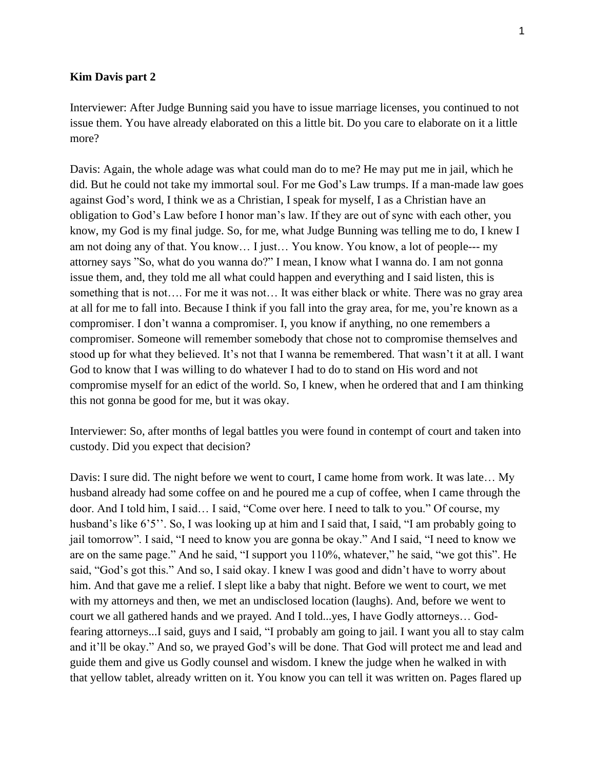#### **Kim Davis part 2**

Interviewer: After Judge Bunning said you have to issue marriage licenses, you continued to not issue them. You have already elaborated on this a little bit. Do you care to elaborate on it a little more?

Davis: Again, the whole adage was what could man do to me? He may put me in jail, which he did. But he could not take my immortal soul. For me God's Law trumps. If a man-made law goes against God's word, I think we as a Christian, I speak for myself, I as a Christian have an obligation to God's Law before I honor man's law. If they are out of sync with each other, you know, my God is my final judge. So, for me, what Judge Bunning was telling me to do, I knew I am not doing any of that. You know… I just… You know. You know, a lot of people--- my attorney says "So, what do you wanna do?" I mean, I know what I wanna do. I am not gonna issue them, and, they told me all what could happen and everything and I said listen, this is something that is not…. For me it was not… It was either black or white. There was no gray area at all for me to fall into. Because I think if you fall into the gray area, for me, you're known as a compromiser. I don't wanna a compromiser. I, you know if anything, no one remembers a compromiser. Someone will remember somebody that chose not to compromise themselves and stood up for what they believed. It's not that I wanna be remembered. That wasn't it at all. I want God to know that I was willing to do whatever I had to do to stand on His word and not compromise myself for an edict of the world. So, I knew, when he ordered that and I am thinking this not gonna be good for me, but it was okay.

Interviewer: So, after months of legal battles you were found in contempt of court and taken into custody. Did you expect that decision?

Davis: I sure did. The night before we went to court, I came home from work. It was late… My husband already had some coffee on and he poured me a cup of coffee, when I came through the door. And I told him, I said… I said, "Come over here. I need to talk to you." Of course, my husband's like 6'5''. So, I was looking up at him and I said that, I said, "I am probably going to jail tomorrow". I said, "I need to know you are gonna be okay." And I said, "I need to know we are on the same page." And he said, "I support you 110%, whatever," he said, "we got this". He said, "God's got this." And so, I said okay. I knew I was good and didn't have to worry about him. And that gave me a relief. I slept like a baby that night. Before we went to court, we met with my attorneys and then, we met an undisclosed location (laughs). And, before we went to court we all gathered hands and we prayed. And I told...yes, I have Godly attorneys… Godfearing attorneys...I said, guys and I said, "I probably am going to jail. I want you all to stay calm and it'll be okay." And so, we prayed God's will be done. That God will protect me and lead and guide them and give us Godly counsel and wisdom. I knew the judge when he walked in with that yellow tablet, already written on it. You know you can tell it was written on. Pages flared up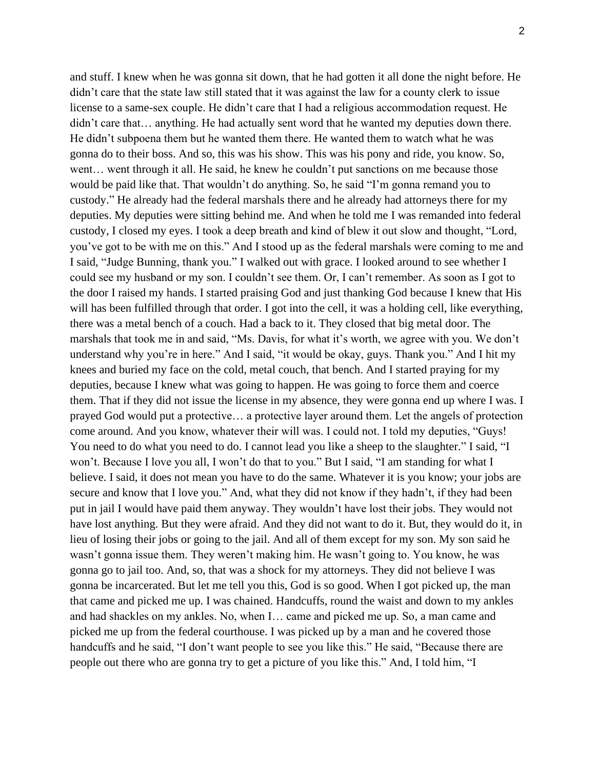and stuff. I knew when he was gonna sit down, that he had gotten it all done the night before. He didn't care that the state law still stated that it was against the law for a county clerk to issue license to a same-sex couple. He didn't care that I had a religious accommodation request. He didn't care that... anything. He had actually sent word that he wanted my deputies down there. He didn't subpoena them but he wanted them there. He wanted them to watch what he was gonna do to their boss. And so, this was his show. This was his pony and ride, you know. So, went... went through it all. He said, he knew he couldn't put sanctions on me because those would be paid like that. That wouldn't do anything. So, he said "I'm gonna remand you to custody." He already had the federal marshals there and he already had attorneys there for my deputies. My deputies were sitting behind me. And when he told me I was remanded into federal custody, I closed my eyes. I took a deep breath and kind of blew it out slow and thought, "Lord, you've got to be with me on this." And I stood up as the federal marshals were coming to me and I said, "Judge Bunning, thank you." I walked out with grace. I looked around to see whether I could see my husband or my son. I couldn't see them. Or, I can't remember. As soon as I got to the door I raised my hands. I started praising God and just thanking God because I knew that His will has been fulfilled through that order. I got into the cell, it was a holding cell, like everything, there was a metal bench of a couch. Had a back to it. They closed that big metal door. The marshals that took me in and said, "Ms. Davis, for what it's worth, we agree with you. We don't understand why you're in here." And I said, "it would be okay, guys. Thank you." And I hit my knees and buried my face on the cold, metal couch, that bench. And I started praying for my deputies, because I knew what was going to happen. He was going to force them and coerce them. That if they did not issue the license in my absence, they were gonna end up where I was. I prayed God would put a protective… a protective layer around them. Let the angels of protection come around. And you know, whatever their will was. I could not. I told my deputies, "Guys! You need to do what you need to do. I cannot lead you like a sheep to the slaughter." I said, "I won't. Because I love you all, I won't do that to you." But I said, "I am standing for what I believe. I said, it does not mean you have to do the same. Whatever it is you know; your jobs are secure and know that I love you." And, what they did not know if they hadn't, if they had been put in jail I would have paid them anyway. They wouldn't have lost their jobs. They would not have lost anything. But they were afraid. And they did not want to do it. But, they would do it, in lieu of losing their jobs or going to the jail. And all of them except for my son. My son said he wasn't gonna issue them. They weren't making him. He wasn't going to. You know, he was gonna go to jail too. And, so, that was a shock for my attorneys. They did not believe I was gonna be incarcerated. But let me tell you this, God is so good. When I got picked up, the man that came and picked me up. I was chained. Handcuffs, round the waist and down to my ankles and had shackles on my ankles. No, when I… came and picked me up. So, a man came and picked me up from the federal courthouse. I was picked up by a man and he covered those handcuffs and he said, "I don't want people to see you like this." He said, "Because there are people out there who are gonna try to get a picture of you like this." And, I told him, "I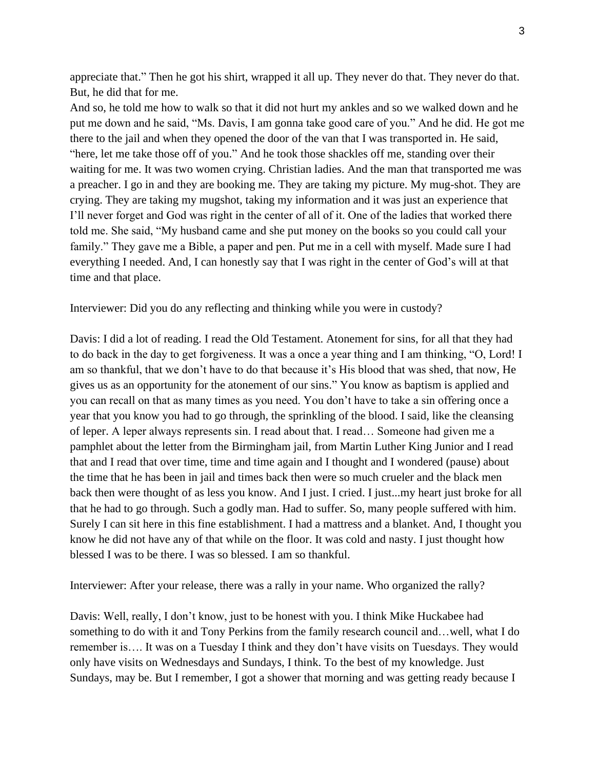appreciate that." Then he got his shirt, wrapped it all up. They never do that. They never do that. But, he did that for me.

And so, he told me how to walk so that it did not hurt my ankles and so we walked down and he put me down and he said, "Ms. Davis, I am gonna take good care of you." And he did. He got me there to the jail and when they opened the door of the van that I was transported in. He said, "here, let me take those off of you." And he took those shackles off me, standing over their waiting for me. It was two women crying. Christian ladies. And the man that transported me was a preacher. I go in and they are booking me. They are taking my picture. My mug-shot. They are crying. They are taking my mugshot, taking my information and it was just an experience that I'll never forget and God was right in the center of all of it. One of the ladies that worked there told me. She said, "My husband came and she put money on the books so you could call your family." They gave me a Bible, a paper and pen. Put me in a cell with myself. Made sure I had everything I needed. And, I can honestly say that I was right in the center of God's will at that time and that place.

Interviewer: Did you do any reflecting and thinking while you were in custody?

Davis: I did a lot of reading. I read the Old Testament. Atonement for sins, for all that they had to do back in the day to get forgiveness. It was a once a year thing and I am thinking, "O, Lord! I am so thankful, that we don't have to do that because it's His blood that was shed, that now, He gives us as an opportunity for the atonement of our sins." You know as baptism is applied and you can recall on that as many times as you need. You don't have to take a sin offering once a year that you know you had to go through, the sprinkling of the blood. I said, like the cleansing of leper. A leper always represents sin. I read about that. I read… Someone had given me a pamphlet about the letter from the Birmingham jail, from Martin Luther King Junior and I read that and I read that over time, time and time again and I thought and I wondered (pause) about the time that he has been in jail and times back then were so much crueler and the black men back then were thought of as less you know. And I just. I cried. I just...my heart just broke for all that he had to go through. Such a godly man. Had to suffer. So, many people suffered with him. Surely I can sit here in this fine establishment. I had a mattress and a blanket. And, I thought you know he did not have any of that while on the floor. It was cold and nasty. I just thought how blessed I was to be there. I was so blessed. I am so thankful.

Interviewer: After your release, there was a rally in your name. Who organized the rally?

Davis: Well, really, I don't know, just to be honest with you. I think Mike Huckabee had something to do with it and Tony Perkins from the family research council and…well, what I do remember is…. It was on a Tuesday I think and they don't have visits on Tuesdays. They would only have visits on Wednesdays and Sundays, I think. To the best of my knowledge. Just Sundays, may be. But I remember, I got a shower that morning and was getting ready because I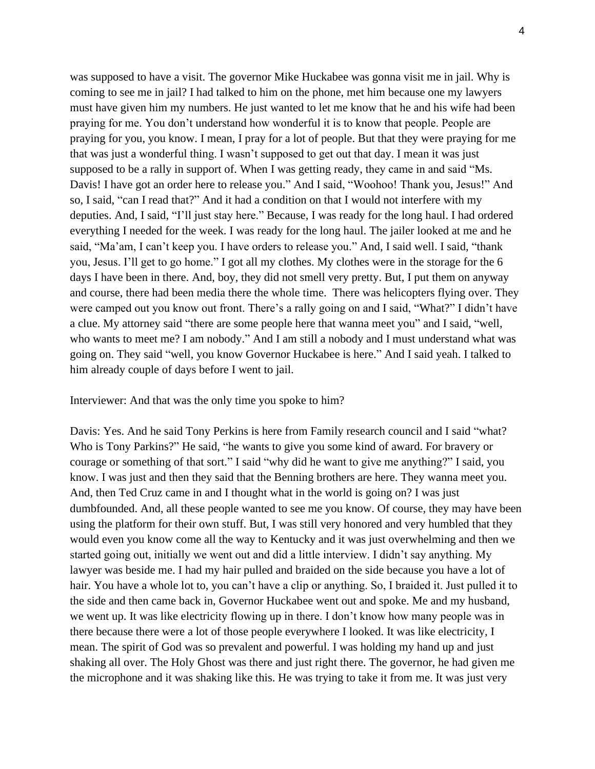was supposed to have a visit. The governor Mike Huckabee was gonna visit me in jail. Why is coming to see me in jail? I had talked to him on the phone, met him because one my lawyers must have given him my numbers. He just wanted to let me know that he and his wife had been praying for me. You don't understand how wonderful it is to know that people. People are praying for you, you know. I mean, I pray for a lot of people. But that they were praying for me that was just a wonderful thing. I wasn't supposed to get out that day. I mean it was just supposed to be a rally in support of. When I was getting ready, they came in and said "Ms. Davis! I have got an order here to release you." And I said, "Woohoo! Thank you, Jesus!" And so, I said, "can I read that?" And it had a condition on that I would not interfere with my deputies. And, I said, "I'll just stay here." Because, I was ready for the long haul. I had ordered everything I needed for the week. I was ready for the long haul. The jailer looked at me and he said, "Ma'am, I can't keep you. I have orders to release you." And, I said well. I said, "thank you, Jesus. I'll get to go home." I got all my clothes. My clothes were in the storage for the 6 days I have been in there. And, boy, they did not smell very pretty. But, I put them on anyway and course, there had been media there the whole time. There was helicopters flying over. They were camped out you know out front. There's a rally going on and I said, "What?" I didn't have a clue. My attorney said "there are some people here that wanna meet you" and I said, "well, who wants to meet me? I am nobody." And I am still a nobody and I must understand what was going on. They said "well, you know Governor Huckabee is here." And I said yeah. I talked to him already couple of days before I went to jail.

Interviewer: And that was the only time you spoke to him?

Davis: Yes. And he said Tony Perkins is here from Family research council and I said "what? Who is Tony Parkins?" He said, "he wants to give you some kind of award. For bravery or courage or something of that sort." I said "why did he want to give me anything?" I said, you know. I was just and then they said that the Benning brothers are here. They wanna meet you. And, then Ted Cruz came in and I thought what in the world is going on? I was just dumbfounded. And, all these people wanted to see me you know. Of course, they may have been using the platform for their own stuff. But, I was still very honored and very humbled that they would even you know come all the way to Kentucky and it was just overwhelming and then we started going out, initially we went out and did a little interview. I didn't say anything. My lawyer was beside me. I had my hair pulled and braided on the side because you have a lot of hair. You have a whole lot to, you can't have a clip or anything. So, I braided it. Just pulled it to the side and then came back in, Governor Huckabee went out and spoke. Me and my husband, we went up. It was like electricity flowing up in there. I don't know how many people was in there because there were a lot of those people everywhere I looked. It was like electricity, I mean. The spirit of God was so prevalent and powerful. I was holding my hand up and just shaking all over. The Holy Ghost was there and just right there. The governor, he had given me the microphone and it was shaking like this. He was trying to take it from me. It was just very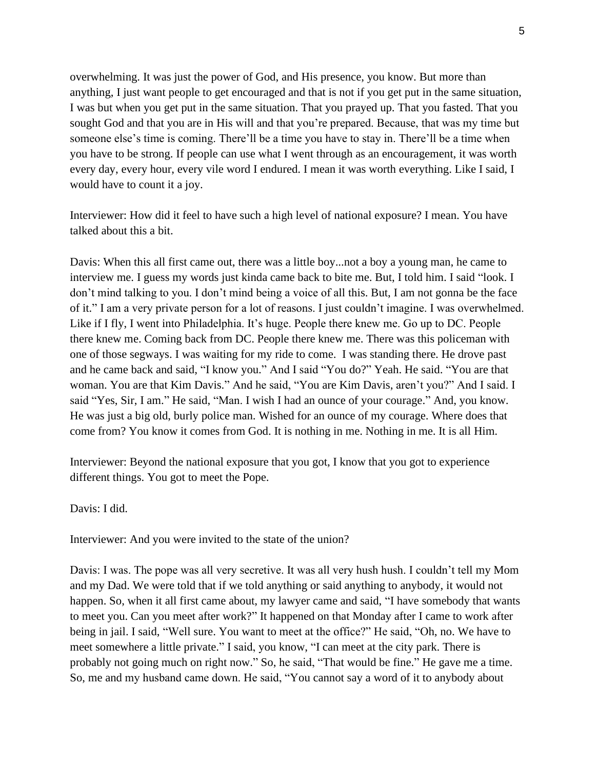overwhelming. It was just the power of God, and His presence, you know. But more than anything, I just want people to get encouraged and that is not if you get put in the same situation, I was but when you get put in the same situation. That you prayed up. That you fasted. That you sought God and that you are in His will and that you're prepared. Because, that was my time but someone else's time is coming. There'll be a time you have to stay in. There'll be a time when you have to be strong. If people can use what I went through as an encouragement, it was worth every day, every hour, every vile word I endured. I mean it was worth everything. Like I said, I would have to count it a joy.

Interviewer: How did it feel to have such a high level of national exposure? I mean. You have talked about this a bit.

Davis: When this all first came out, there was a little boy...not a boy a young man, he came to interview me. I guess my words just kinda came back to bite me. But, I told him. I said "look. I don't mind talking to you. I don't mind being a voice of all this. But, I am not gonna be the face of it." I am a very private person for a lot of reasons. I just couldn't imagine. I was overwhelmed. Like if I fly, I went into Philadelphia. It's huge. People there knew me. Go up to DC. People there knew me. Coming back from DC. People there knew me. There was this policeman with one of those segways. I was waiting for my ride to come. I was standing there. He drove past and he came back and said, "I know you." And I said "You do?" Yeah. He said. "You are that woman. You are that Kim Davis." And he said, "You are Kim Davis, aren't you?" And I said. I said "Yes, Sir, I am." He said, "Man. I wish I had an ounce of your courage." And, you know. He was just a big old, burly police man. Wished for an ounce of my courage. Where does that come from? You know it comes from God. It is nothing in me. Nothing in me. It is all Him.

Interviewer: Beyond the national exposure that you got, I know that you got to experience different things. You got to meet the Pope.

Davis: I did.

Interviewer: And you were invited to the state of the union?

Davis: I was. The pope was all very secretive. It was all very hush hush. I couldn't tell my Mom and my Dad. We were told that if we told anything or said anything to anybody, it would not happen. So, when it all first came about, my lawyer came and said, "I have somebody that wants to meet you. Can you meet after work?" It happened on that Monday after I came to work after being in jail. I said, "Well sure. You want to meet at the office?" He said, "Oh, no. We have to meet somewhere a little private." I said, you know, "I can meet at the city park. There is probably not going much on right now." So, he said, "That would be fine." He gave me a time. So, me and my husband came down. He said, "You cannot say a word of it to anybody about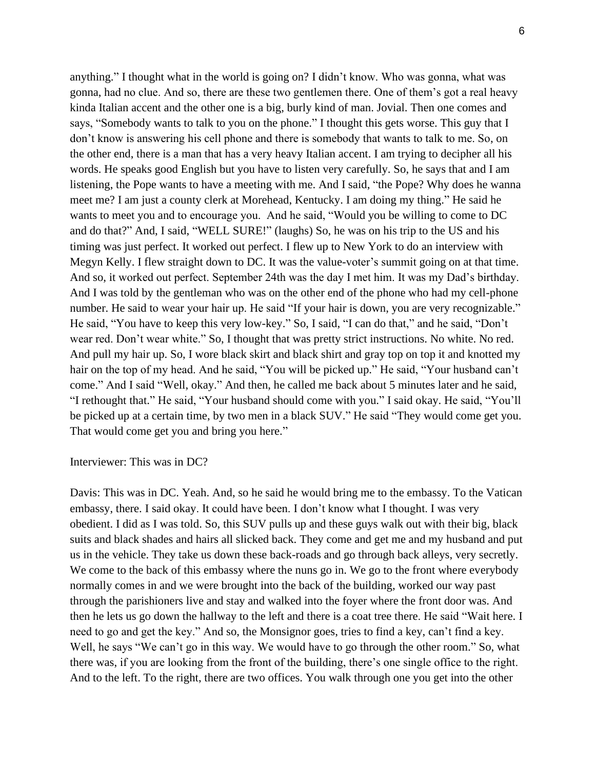anything." I thought what in the world is going on? I didn't know. Who was gonna, what was gonna, had no clue. And so, there are these two gentlemen there. One of them's got a real heavy kinda Italian accent and the other one is a big, burly kind of man. Jovial. Then one comes and says, "Somebody wants to talk to you on the phone." I thought this gets worse. This guy that I don't know is answering his cell phone and there is somebody that wants to talk to me. So, on the other end, there is a man that has a very heavy Italian accent. I am trying to decipher all his words. He speaks good English but you have to listen very carefully. So, he says that and I am listening, the Pope wants to have a meeting with me. And I said, "the Pope? Why does he wanna meet me? I am just a county clerk at Morehead, Kentucky. I am doing my thing." He said he wants to meet you and to encourage you. And he said, "Would you be willing to come to DC and do that?" And, I said, "WELL SURE!" (laughs) So, he was on his trip to the US and his timing was just perfect. It worked out perfect. I flew up to New York to do an interview with Megyn Kelly. I flew straight down to DC. It was the value-voter's summit going on at that time. And so, it worked out perfect. September 24th was the day I met him. It was my Dad's birthday. And I was told by the gentleman who was on the other end of the phone who had my cell-phone number. He said to wear your hair up. He said "If your hair is down, you are very recognizable." He said, "You have to keep this very low-key." So, I said, "I can do that," and he said, "Don't wear red. Don't wear white." So, I thought that was pretty strict instructions. No white. No red. And pull my hair up. So, I wore black skirt and black shirt and gray top on top it and knotted my hair on the top of my head. And he said, "You will be picked up." He said, "Your husband can't come." And I said "Well, okay." And then, he called me back about 5 minutes later and he said, "I rethought that." He said, "Your husband should come with you." I said okay. He said, "You'll be picked up at a certain time, by two men in a black SUV." He said "They would come get you. That would come get you and bring you here."

#### Interviewer: This was in DC?

Davis: This was in DC. Yeah. And, so he said he would bring me to the embassy. To the Vatican embassy, there. I said okay. It could have been. I don't know what I thought. I was very obedient. I did as I was told. So, this SUV pulls up and these guys walk out with their big, black suits and black shades and hairs all slicked back. They come and get me and my husband and put us in the vehicle. They take us down these back-roads and go through back alleys, very secretly. We come to the back of this embassy where the nuns go in. We go to the front where everybody normally comes in and we were brought into the back of the building, worked our way past through the parishioners live and stay and walked into the foyer where the front door was. And then he lets us go down the hallway to the left and there is a coat tree there. He said "Wait here. I need to go and get the key." And so, the Monsignor goes, tries to find a key, can't find a key. Well, he says "We can't go in this way. We would have to go through the other room." So, what there was, if you are looking from the front of the building, there's one single office to the right. And to the left. To the right, there are two offices. You walk through one you get into the other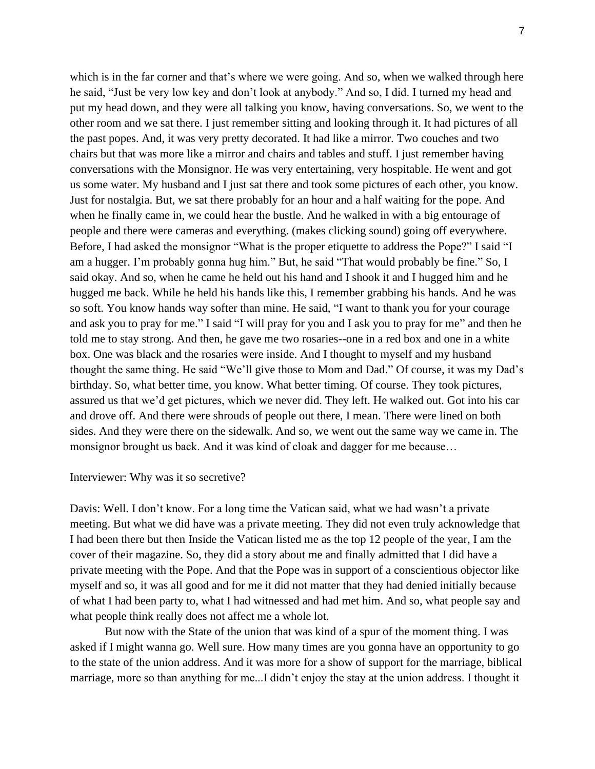which is in the far corner and that's where we were going. And so, when we walked through here he said, "Just be very low key and don't look at anybody." And so, I did. I turned my head and put my head down, and they were all talking you know, having conversations. So, we went to the other room and we sat there. I just remember sitting and looking through it. It had pictures of all the past popes. And, it was very pretty decorated. It had like a mirror. Two couches and two chairs but that was more like a mirror and chairs and tables and stuff. I just remember having conversations with the Monsignor. He was very entertaining, very hospitable. He went and got us some water. My husband and I just sat there and took some pictures of each other, you know. Just for nostalgia. But, we sat there probably for an hour and a half waiting for the pope. And when he finally came in, we could hear the bustle. And he walked in with a big entourage of people and there were cameras and everything. (makes clicking sound) going off everywhere. Before, I had asked the monsignor "What is the proper etiquette to address the Pope?" I said "I am a hugger. I'm probably gonna hug him." But, he said "That would probably be fine." So, I said okay. And so, when he came he held out his hand and I shook it and I hugged him and he hugged me back. While he held his hands like this, I remember grabbing his hands. And he was so soft. You know hands way softer than mine. He said, "I want to thank you for your courage and ask you to pray for me." I said "I will pray for you and I ask you to pray for me" and then he told me to stay strong. And then, he gave me two rosaries--one in a red box and one in a white box. One was black and the rosaries were inside. And I thought to myself and my husband thought the same thing. He said "We'll give those to Mom and Dad." Of course, it was my Dad's birthday. So, what better time, you know. What better timing. Of course. They took pictures, assured us that we'd get pictures, which we never did. They left. He walked out. Got into his car and drove off. And there were shrouds of people out there, I mean. There were lined on both sides. And they were there on the sidewalk. And so, we went out the same way we came in. The monsignor brought us back. And it was kind of cloak and dagger for me because…

### Interviewer: Why was it so secretive?

Davis: Well. I don't know. For a long time the Vatican said, what we had wasn't a private meeting. But what we did have was a private meeting. They did not even truly acknowledge that I had been there but then Inside the Vatican listed me as the top 12 people of the year, I am the cover of their magazine. So, they did a story about me and finally admitted that I did have a private meeting with the Pope. And that the Pope was in support of a conscientious objector like myself and so, it was all good and for me it did not matter that they had denied initially because of what I had been party to, what I had witnessed and had met him. And so, what people say and what people think really does not affect me a whole lot.

But now with the State of the union that was kind of a spur of the moment thing. I was asked if I might wanna go. Well sure. How many times are you gonna have an opportunity to go to the state of the union address. And it was more for a show of support for the marriage, biblical marriage, more so than anything for me...I didn't enjoy the stay at the union address. I thought it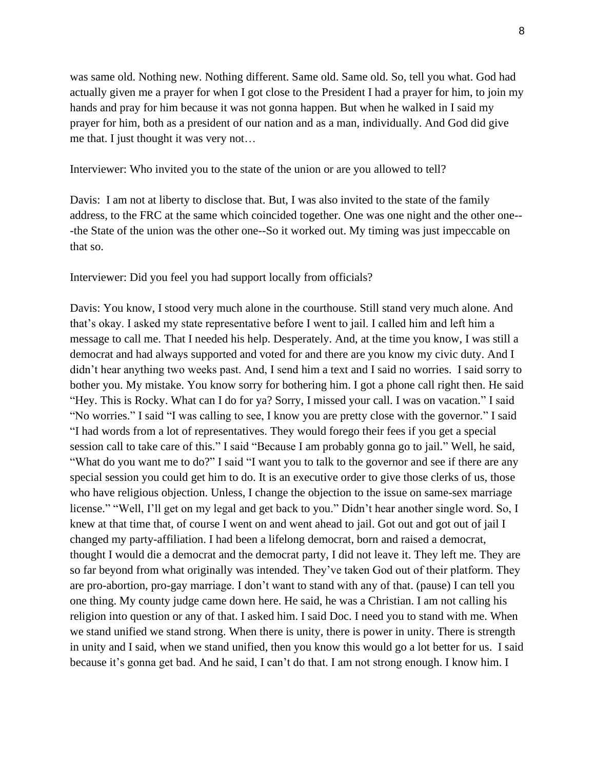was same old. Nothing new. Nothing different. Same old. Same old. So, tell you what. God had actually given me a prayer for when I got close to the President I had a prayer for him, to join my hands and pray for him because it was not gonna happen. But when he walked in I said my prayer for him, both as a president of our nation and as a man, individually. And God did give me that. I just thought it was very not…

Interviewer: Who invited you to the state of the union or are you allowed to tell?

Davis: I am not at liberty to disclose that. But, I was also invited to the state of the family address, to the FRC at the same which coincided together. One was one night and the other one-- -the State of the union was the other one--So it worked out. My timing was just impeccable on that so.

Interviewer: Did you feel you had support locally from officials?

Davis: You know, I stood very much alone in the courthouse. Still stand very much alone. And that's okay. I asked my state representative before I went to jail. I called him and left him a message to call me. That I needed his help. Desperately. And, at the time you know, I was still a democrat and had always supported and voted for and there are you know my civic duty. And I didn't hear anything two weeks past. And, I send him a text and I said no worries. I said sorry to bother you. My mistake. You know sorry for bothering him. I got a phone call right then. He said "Hey. This is Rocky. What can I do for ya? Sorry, I missed your call. I was on vacation." I said "No worries." I said "I was calling to see, I know you are pretty close with the governor." I said "I had words from a lot of representatives. They would forego their fees if you get a special session call to take care of this." I said "Because I am probably gonna go to jail." Well, he said, "What do you want me to do?" I said "I want you to talk to the governor and see if there are any special session you could get him to do. It is an executive order to give those clerks of us, those who have religious objection. Unless, I change the objection to the issue on same-sex marriage license." "Well, I'll get on my legal and get back to you." Didn't hear another single word. So, I knew at that time that, of course I went on and went ahead to jail. Got out and got out of jail I changed my party-affiliation. I had been a lifelong democrat, born and raised a democrat, thought I would die a democrat and the democrat party, I did not leave it. They left me. They are so far beyond from what originally was intended. They've taken God out of their platform. They are pro-abortion, pro-gay marriage. I don't want to stand with any of that. (pause) I can tell you one thing. My county judge came down here. He said, he was a Christian. I am not calling his religion into question or any of that. I asked him. I said Doc. I need you to stand with me. When we stand unified we stand strong. When there is unity, there is power in unity. There is strength in unity and I said, when we stand unified, then you know this would go a lot better for us. I said because it's gonna get bad. And he said, I can't do that. I am not strong enough. I know him. I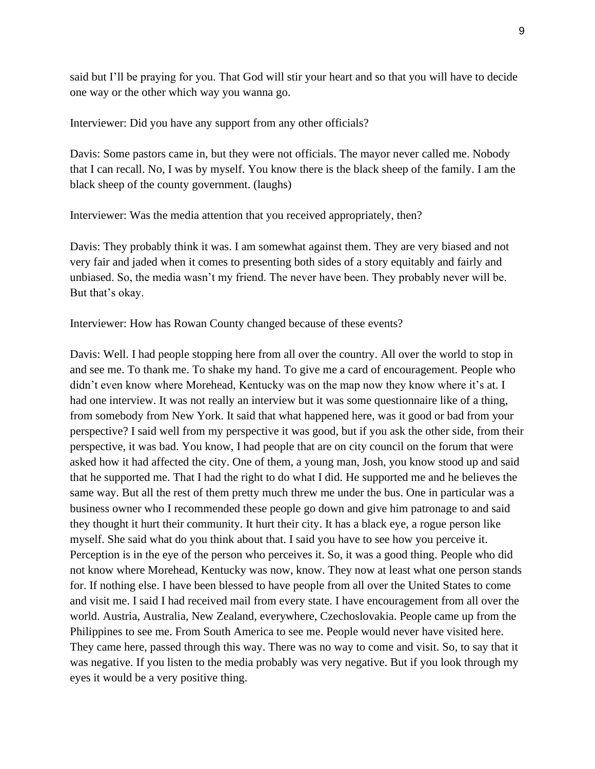said but I'll be praying for you. That God will stir your heart and so that you will have to decide one way or the other which way you wanna go.

Interviewer: Did you have any support from any other officials?

Davis: Some pastors came in, but they were not officials. The mayor never called me. Nobody that I can recall. No, I was by myself. You know there is the black sheep of the family. I am the black sheep of the county government. (laughs)

Interviewer: Was the media attention that you received appropriately, then?

Davis: They probably think it was. I am somewhat against them. They are very biased and not very fair and jaded when it comes to presenting both sides of a story equitably and fairly and unbiased. So, the media wasn't my friend. The never have been. They probably never will be. But that's okay.

Interviewer: How has Rowan County changed because of these events?

Davis: Well. I had people stopping here from all over the country. All over the world to stop in and see me. To thank me. To shake my hand. To give me a card of encouragement. People who didn't even know where Morehead, Kentucky was on the map now they know where it's at. I had one interview. It was not really an interview but it was some questionnaire like of a thing, from somebody from New York. It said that what happened here, was it good or bad from your perspective? I said well from my perspective it was good, but if you ask the other side, from their perspective, it was bad. You know, I had people that are on city council on the forum that were asked how it had affected the city. One of them, a young man, Josh, you know stood up and said that he supported me. That I had the right to do what I did. He supported me and he believes the same way. But all the rest of them pretty much threw me under the bus. One in particular was a business owner who I recommended these people go down and give him patronage to and said they thought it hurt their community. It hurt their city. It has a black eye, a rogue person like myself. She said what do you think about that. I said you have to see how you perceive it. Perception is in the eye of the person who perceives it. So, it was a good thing. People who did not know where Morehead, Kentucky was now, know. They now at least what one person stands for. If nothing else. I have been blessed to have people from all over the United States to come and visit me. I said I had received mail from every state. I have encouragement from all over the world. Austria, Australia, New Zealand, everywhere, Czechoslovakia. People came up from the Philippines to see me. From South America to see me. People would never have visited here. They came here, passed through this way. There was no way to come and visit. So, to say that it was negative. If you listen to the media probably was very negative. But if you look through my eyes it would be a very positive thing.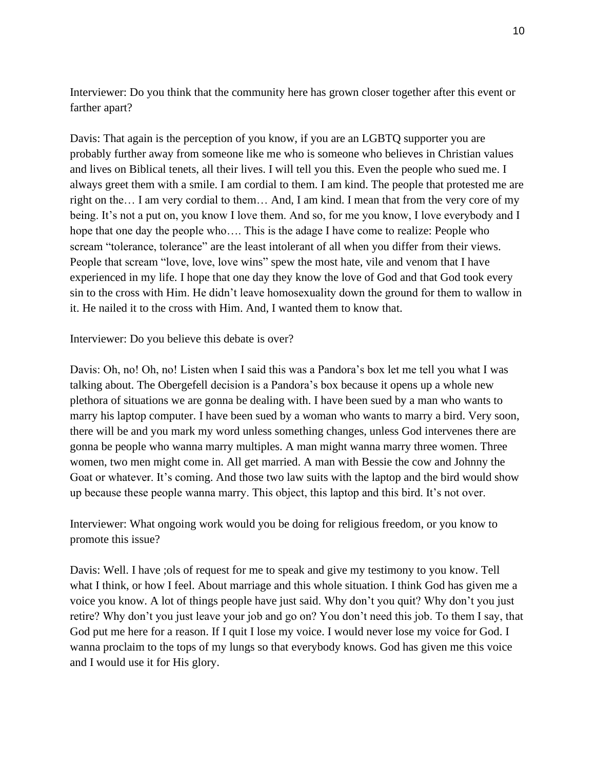Interviewer: Do you think that the community here has grown closer together after this event or farther apart?

Davis: That again is the perception of you know, if you are an LGBTQ supporter you are probably further away from someone like me who is someone who believes in Christian values and lives on Biblical tenets, all their lives. I will tell you this. Even the people who sued me. I always greet them with a smile. I am cordial to them. I am kind. The people that protested me are right on the… I am very cordial to them… And, I am kind. I mean that from the very core of my being. It's not a put on, you know I love them. And so, for me you know, I love everybody and I hope that one day the people who…. This is the adage I have come to realize: People who scream "tolerance, tolerance" are the least intolerant of all when you differ from their views. People that scream "love, love, love wins" spew the most hate, vile and venom that I have experienced in my life. I hope that one day they know the love of God and that God took every sin to the cross with Him. He didn't leave homosexuality down the ground for them to wallow in it. He nailed it to the cross with Him. And, I wanted them to know that.

Interviewer: Do you believe this debate is over?

Davis: Oh, no! Oh, no! Listen when I said this was a Pandora's box let me tell you what I was talking about. The Obergefell decision is a Pandora's box because it opens up a whole new plethora of situations we are gonna be dealing with. I have been sued by a man who wants to marry his laptop computer. I have been sued by a woman who wants to marry a bird. Very soon, there will be and you mark my word unless something changes, unless God intervenes there are gonna be people who wanna marry multiples. A man might wanna marry three women. Three women, two men might come in. All get married. A man with Bessie the cow and Johnny the Goat or whatever. It's coming. And those two law suits with the laptop and the bird would show up because these people wanna marry. This object, this laptop and this bird. It's not over.

Interviewer: What ongoing work would you be doing for religious freedom, or you know to promote this issue?

Davis: Well. I have ;ols of request for me to speak and give my testimony to you know. Tell what I think, or how I feel. About marriage and this whole situation. I think God has given me a voice you know. A lot of things people have just said. Why don't you quit? Why don't you just retire? Why don't you just leave your job and go on? You don't need this job. To them I say, that God put me here for a reason. If I quit I lose my voice. I would never lose my voice for God. I wanna proclaim to the tops of my lungs so that everybody knows. God has given me this voice and I would use it for His glory.